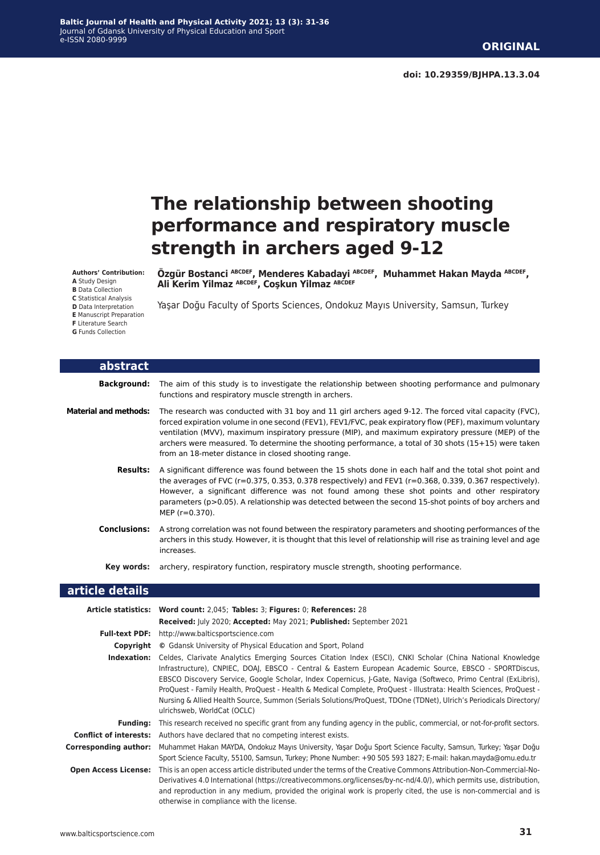# **The relationship between shooting performance and respiratory muscle strength in archers aged 9-12**

**Authors' Contribution:**

**A** Study Design **B** Data Collection **C** Statistical Analysis **D** Data Interpretation **E** Manuscript Preparation **F** Literature Search

**G** Funds Collection

**Özgür Bostanci ABCDEF, Menderes Kabadayi ABCDEF, Muhammet Hakan Mayda ABCDEF, Ali Kerim Yilmaz ABCDEF, Coşkun Yilmaz ABCDEF**

Yaşar Doğu Faculty of Sports Sciences, Ondokuz Mayıs University, Samsun, Turkey

| abstract                     |                                                                                                                                                                                                                                                                                                                                                                                                                                                                                                                                                                                                                    |
|------------------------------|--------------------------------------------------------------------------------------------------------------------------------------------------------------------------------------------------------------------------------------------------------------------------------------------------------------------------------------------------------------------------------------------------------------------------------------------------------------------------------------------------------------------------------------------------------------------------------------------------------------------|
|                              | <b>Background:</b> The aim of this study is to investigate the relationship between shooting performance and pulmonary<br>functions and respiratory muscle strength in archers.                                                                                                                                                                                                                                                                                                                                                                                                                                    |
| <b>Material and methods:</b> | The research was conducted with 31 boy and 11 girl archers aged 9-12. The forced vital capacity (FVC),<br>forced expiration volume in one second (FEV1), FEV1/FVC, peak expiratory flow (PEF), maximum voluntary<br>ventilation (MVV), maximum inspiratory pressure (MIP), and maximum expiratory pressure (MEP) of the<br>archers were measured. To determine the shooting performance, a total of 30 shots $(15+15)$ were taken<br>from an 18-meter distance in closed shooting range.                                                                                                                           |
|                              | Results: A significant difference was found between the 15 shots done in each half and the total shot point and<br>the averages of FVC ( $r=0.375$ , 0.353, 0.378 respectively) and FEV1 ( $r=0.368$ , 0.339, 0.367 respectively).<br>However, a significant difference was not found among these shot points and other respiratory<br>parameters (p>0.05). A relationship was detected between the second 15-shot points of boy archers and<br>MEP (r=0.370).                                                                                                                                                     |
| Conclusions:                 | A strong correlation was not found between the respiratory parameters and shooting performances of the<br>archers in this study. However, it is thought that this level of relationship will rise as training level and age<br>increases.                                                                                                                                                                                                                                                                                                                                                                          |
| Key words:                   | archery, respiratory function, respiratory muscle strength, shooting performance.                                                                                                                                                                                                                                                                                                                                                                                                                                                                                                                                  |
| article details              |                                                                                                                                                                                                                                                                                                                                                                                                                                                                                                                                                                                                                    |
|                              | Article statistics: Word count: 2,045; Tables: 3; Figures: 0; References: 28                                                                                                                                                                                                                                                                                                                                                                                                                                                                                                                                       |
|                              | Received: July 2020; Accepted: May 2021; Published: September 2021                                                                                                                                                                                                                                                                                                                                                                                                                                                                                                                                                 |
|                              | Full-text PDF: http://www.balticsportscience.com                                                                                                                                                                                                                                                                                                                                                                                                                                                                                                                                                                   |
|                              | <b>Copyright</b> © Gdansk University of Physical Education and Sport, Poland                                                                                                                                                                                                                                                                                                                                                                                                                                                                                                                                       |
| Indexation:                  | Celdes, Clarivate Analytics Emerging Sources Citation Index (ESCI), CNKI Scholar (China National Knowledge<br>Infrastructure), CNPIEC, DOAJ, EBSCO - Central & Eastern European Academic Source, EBSCO - SPORTDiscus,<br>EBSCO Discovery Service, Google Scholar, Index Copernicus, J-Gate, Naviga (Softweco, Primo Central (ExLibris),<br>ProQuest - Family Health, ProQuest - Health & Medical Complete, ProQuest - Illustrata: Health Sciences, ProQuest -<br>Nursing & Allied Health Source, Summon (Serials Solutions/ProQuest, TDOne (TDNet), Ulrich's Periodicals Directory/<br>ulrichsweb, WorldCat (OCLC) |
| <b>Funding:</b>              | This research received no specific grant from any funding agency in the public, commercial, or not-for-profit sectors.                                                                                                                                                                                                                                                                                                                                                                                                                                                                                             |
|                              | <b>Conflict of interests:</b> Authors have declared that no competing interest exists.                                                                                                                                                                                                                                                                                                                                                                                                                                                                                                                             |
| <b>Corresponding author:</b> | Muhammet Hakan MAYDA, Ondokuz Mayıs University, Yaşar Doğu Sport Science Faculty, Samsun, Turkey; Yaşar Doğu<br>Sport Science Faculty, 55100, Samsun, Turkey; Phone Number: +90 505 593 1827; E-mail: hakan.mayda@omu.edu.tr                                                                                                                                                                                                                                                                                                                                                                                       |

**Open Access License:** This is an open access article distributed under the terms of the Creative Commons Attribution-Non-Commercial-No-Derivatives 4.0 International (https://creativecommons.org/licenses/by-nc-nd/4.0/), which permits use, distribution, and reproduction in any medium, provided the original work is properly cited, the use is non-commercial and is otherwise in compliance with the license.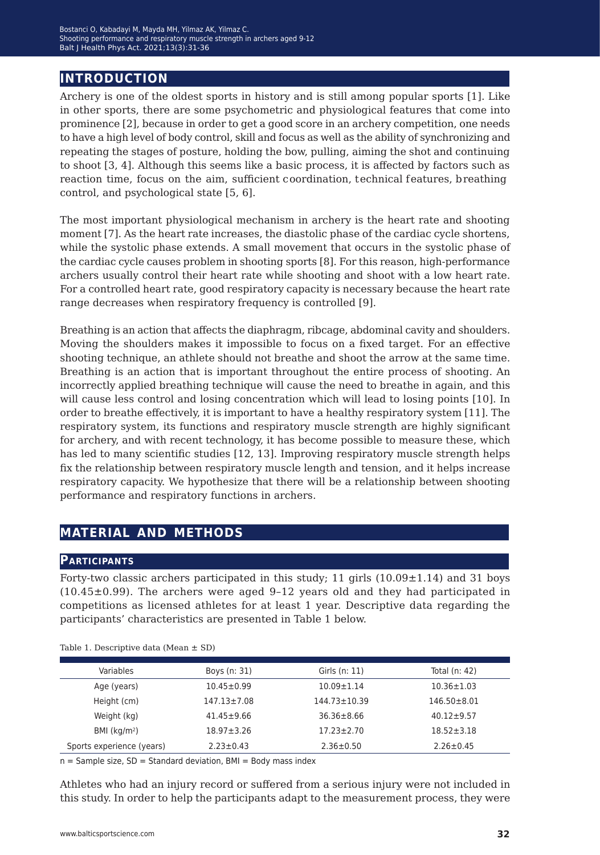# **introduction**

Archery is one of the oldest sports in history and is still among popular sports [1]. Like in other sports, there are some psychometric and physiological features that come into prominence [2], because in order to get a good score in an archery competition, one needs to have a high level of body control, skill and focus as well as the ability of synchronizing and repeating the stages of posture, holding the bow, pulling, aiming the shot and continuing to shoot [3, 4]. Although this seems like a basic process, it is affected by factors such as reaction time, focus on the aim, sufficient coordination, technical features, breathing control, and psychological state [5, 6].

The most important physiological mechanism in archery is the heart rate and shooting moment [7]. As the heart rate increases, the diastolic phase of the cardiac cycle shortens, while the systolic phase extends. A small movement that occurs in the systolic phase of the cardiac cycle causes problem in shooting sports [8]. For this reason, high-performance archers usually control their heart rate while shooting and shoot with a low heart rate. For a controlled heart rate, good respiratory capacity is necessary because the heart rate range decreases when respiratory frequency is controlled [9].

Breathing is an action that affects the diaphragm, ribcage, abdominal cavity and shoulders. Moving the shoulders makes it impossible to focus on a fixed target. For an effective shooting technique, an athlete should not breathe and shoot the arrow at the same time. Breathing is an action that is important throughout the entire process of shooting. An incorrectly applied breathing technique will cause the need to breathe in again, and this will cause less control and losing concentration which will lead to losing points [10]. In order to breathe effectively, it is important to have a healthy respiratory system [11]. The respiratory system, its functions and respiratory muscle strength are highly significant for archery, and with recent technology, it has become possible to measure these, which has led to many scientific studies [12, 13]. Improving respiratory muscle strength helps fix the relationship between respiratory muscle length and tension, and it helps increase respiratory capacity. We hypothesize that there will be a relationship between shooting performance and respiratory functions in archers.

# **material and methods**

#### **Participants**

Forty-two classic archers participated in this study; 11 girls  $(10.09 \pm 1.14)$  and 31 boys (10.45±0.99). The archers were aged 9–12 years old and they had participated in competitions as licensed athletes for at least 1 year. Descriptive data regarding the participants' characteristics are presented in Table 1 below.

| Variables                 | Boys (n: 31)      | Girls (n: 11)      | Total (n: 42)     |
|---------------------------|-------------------|--------------------|-------------------|
| Age (years)               | $10.45 \pm 0.99$  | $10.09 \pm 1.14$   | $10.36 \pm 1.03$  |
| Height (cm)               | $147.13 \pm 7.08$ | $144.73 \pm 10.39$ | $146.50 \pm 8.01$ |
| Weight (kg)               | $41.45 \pm 9.66$  | $36.36 \pm 8.66$   | $40.12 \pm 9.57$  |
| BMI ( $kg/m2$ )           | $18.97 \pm 3.26$  | $17.23 \pm 2.70$   | $18.52 \pm 3.18$  |
| Sports experience (years) | $2.23 \pm 0.43$   | $2.36 \pm 0.50$    | $2.26 \pm 0.45$   |

Table 1. Descriptive data (Mean  $\pm$  SD)

 $n =$  Sample size, SD = Standard deviation, BMI = Body mass index

Athletes who had an injury record or suffered from a serious injury were not included in this study. In order to help the participants adapt to the measurement process, they were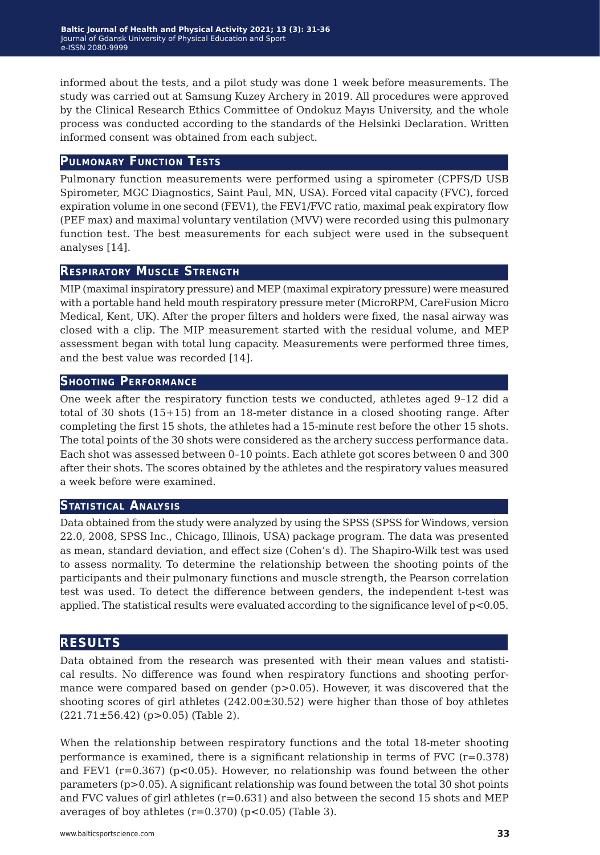informed about the tests, and a pilot study was done 1 week before measurements. The study was carried out at Samsung Kuzey Archery in 2019. All procedures were approved by the Clinical Research Ethics Committee of Ondokuz Mayıs University, and the whole process was conducted according to the standards of the Helsinki Declaration. Written informed consent was obtained from each subject.

#### **Pulmonary Function Tests**

Pulmonary function measurements were performed using a spirometer (CPFS/D USB Spirometer, MGC Diagnostics, Saint Paul, MN, USA). Forced vital capacity (FVC), forced expiration volume in one second (FEV1), the FEV1/FVC ratio, maximal peak expiratory flow (PEF max) and maximal voluntary ventilation (MVV) were recorded using this pulmonary function test. The best measurements for each subject were used in the subsequent analyses [14].

#### **Respiratory Muscle Strength**

MIP (maximal inspiratory pressure) and MEP (maximal expiratory pressure) were measured with a portable hand held mouth respiratory pressure meter (MicroRPM, CareFusion Micro Medical, Kent, UK). After the proper filters and holders were fixed, the nasal airway was closed with a clip. The MIP measurement started with the residual volume, and MEP assessment began with total lung capacity. Measurements were performed three times, and the best value was recorded [14].

#### **Shooting Performance**

One week after the respiratory function tests we conducted, athletes aged 9–12 did a total of 30 shots (15+15) from an 18-meter distance in a closed shooting range. After completing the first 15 shots, the athletes had a 15-minute rest before the other 15 shots. The total points of the 30 shots were considered as the archery success performance data. Each shot was assessed between 0–10 points. Each athlete got scores between 0 and 300 after their shots. The scores obtained by the athletes and the respiratory values measured a week before were examined.

#### **Statistical Analysis**

Data obtained from the study were analyzed by using the SPSS (SPSS for Windows, version 22.0, 2008, SPSS Inc., Chicago, Illinois, USA) package program. The data was presented as mean, standard deviation, and effect size (Cohen's d). The Shapiro-Wilk test was used to assess normality. To determine the relationship between the shooting points of the participants and their pulmonary functions and muscle strength, the Pearson correlation test was used. To detect the difference between genders, the independent t-test was applied. The statistical results were evaluated according to the significance level of  $p<0.05$ .

# **results**

Data obtained from the research was presented with their mean values and statistical results. No difference was found when respiratory functions and shooting performance were compared based on gender (p>0.05). However, it was discovered that the shooting scores of girl athletes (242.00±30.52) were higher than those of boy athletes  $(221.71 \pm 56.42)$  (p>0.05) (Table 2).

When the relationship between respiratory functions and the total 18-meter shooting performance is examined, there is a significant relationship in terms of FVC  $(r=0.378)$ and FEV1 ( $r=0.367$ ) ( $p<0.05$ ). However, no relationship was found between the other parameters (p>0.05). A significant relationship was found between the total 30 shot points and FVC values of girl athletes (r=0.631) and also between the second 15 shots and MEP averages of boy athletes  $(r=0.370)$   $(p<0.05)$  (Table 3).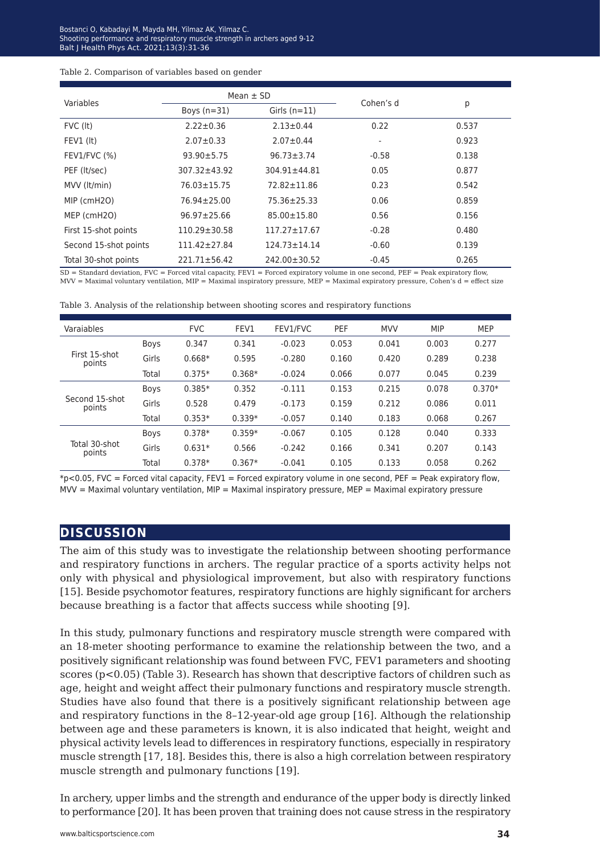#### Table 2. Comparison of variables based on gender

| Variables                 |                    | Mean $\pm$ SD      | Cohen's d | р     |  |
|---------------------------|--------------------|--------------------|-----------|-------|--|
|                           | Boys $(n=31)$      | Girls $(n=11)$     |           |       |  |
| $FVC$ ( $\vert t \rangle$ | $2.22 \pm 0.36$    | $2.13 \pm 0.44$    | 0.22      | 0.537 |  |
| $FEV1$ (It)               | $2.07 \pm 0.33$    | $2.07 \pm 0.44$    | ۰         | 0.923 |  |
| FEV1/FVC $(%)$            | $93.90 \pm 5.75$   | $96.73 \pm 3.74$   | $-0.58$   | 0.138 |  |
| PEF (It/sec)              | $307.32 \pm 43.92$ | $304.91 \pm 44.81$ | 0.05      | 0.877 |  |
| MVV (It/min)              | $76.03 \pm 15.75$  | 72.82±11.86        | 0.23      | 0.542 |  |
| MIP (cmH2O)               | $76.94 \pm 25.00$  | $75.36 \pm 25.33$  | 0.06      | 0.859 |  |
| MEP (cmH2O)               | $96.97 \pm 25.66$  | $85.00 \pm 15.80$  | 0.56      | 0.156 |  |
| First 15-shot points      | $110.29 \pm 30.58$ | $117.27 \pm 17.67$ | $-0.28$   | 0.480 |  |
| Second 15-shot points     | $111.42 \pm 27.84$ | $124.73 \pm 14.14$ | $-0.60$   | 0.139 |  |
| Total 30-shot points      | $221.71 \pm 56.42$ | $242.00 \pm 30.52$ | $-0.45$   | 0.265 |  |

SD = Standard deviation, FVC = Forced vital capacity, FEV1 = Forced expiratory volume in one second, PEF = Peak expiratory flow, MVV = Maximal voluntary ventilation, MIP = Maximal inspiratory pressure, MEP = Maximal expiratory pressure, Cohen's d = effect size

|  |  | Table 3. Analysis of the relationship between shooting scores and respiratory functions |
|--|--|-----------------------------------------------------------------------------------------|
|  |  |                                                                                         |

| Varaiables               |             | <b>FVC</b> | FEV1     | FEV1/FVC | PEF   | <b>MVV</b> | <b>MIP</b> | <b>MEP</b> |
|--------------------------|-------------|------------|----------|----------|-------|------------|------------|------------|
| First 15-shot<br>points  | <b>Boys</b> | 0.347      | 0.341    | $-0.023$ | 0.053 | 0.041      | 0.003      | 0.277      |
|                          | Girls       | $0.668*$   | 0.595    | $-0.280$ | 0.160 | 0.420      | 0.289      | 0.238      |
|                          | Total       | $0.375*$   | $0.368*$ | $-0.024$ | 0.066 | 0.077      | 0.045      | 0.239      |
| Second 15-shot<br>points | Boys        | $0.385*$   | 0.352    | $-0.111$ | 0.153 | 0.215      | 0.078      | $0.370*$   |
|                          | Girls       | 0.528      | 0.479    | $-0.173$ | 0.159 | 0.212      | 0.086      | 0.011      |
|                          | Total       | $0.353*$   | $0.339*$ | $-0.057$ | 0.140 | 0.183      | 0.068      | 0.267      |
| Total 30-shot<br>points  | <b>Boys</b> | $0.378*$   | $0.359*$ | $-0.067$ | 0.105 | 0.128      | 0.040      | 0.333      |
|                          | Girls       | $0.631*$   | 0.566    | $-0.242$ | 0.166 | 0.341      | 0.207      | 0.143      |
|                          | Total       | $0.378*$   | $0.367*$ | $-0.041$ | 0.105 | 0.133      | 0.058      | 0.262      |

 $*p<0.05$ , FVC = Forced vital capacity, FEV1 = Forced expiratory volume in one second, PEF = Peak expiratory flow,  $MVV =$  Maximal voluntary ventilation, MIP = Maximal inspiratory pressure, MEP = Maximal expiratory pressure

# **discussion**

The aim of this study was to investigate the relationship between shooting performance and respiratory functions in archers. The regular practice of a sports activity helps not only with physical and physiological improvement, but also with respiratory functions [15]. Beside psychomotor features, respiratory functions are highly significant for archers because breathing is a factor that affects success while shooting [9].

In this study, pulmonary functions and respiratory muscle strength were compared with an 18-meter shooting performance to examine the relationship between the two, and a positively significant relationship was found between FVC, FEV1 parameters and shooting scores (p<0.05) (Table 3). Research has shown that descriptive factors of children such as age, height and weight affect their pulmonary functions and respiratory muscle strength. Studies have also found that there is a positively significant relationship between age and respiratory functions in the 8–12-year-old age group [16]. Although the relationship between age and these parameters is known, it is also indicated that height, weight and physical activity levels lead to differences in respiratory functions, especially in respiratory muscle strength [17, 18]. Besides this, there is also a high correlation between respiratory muscle strength and pulmonary functions [19].

In archery, upper limbs and the strength and endurance of the upper body is directly linked to performance [20]. It has been proven that training does not cause stress in the respiratory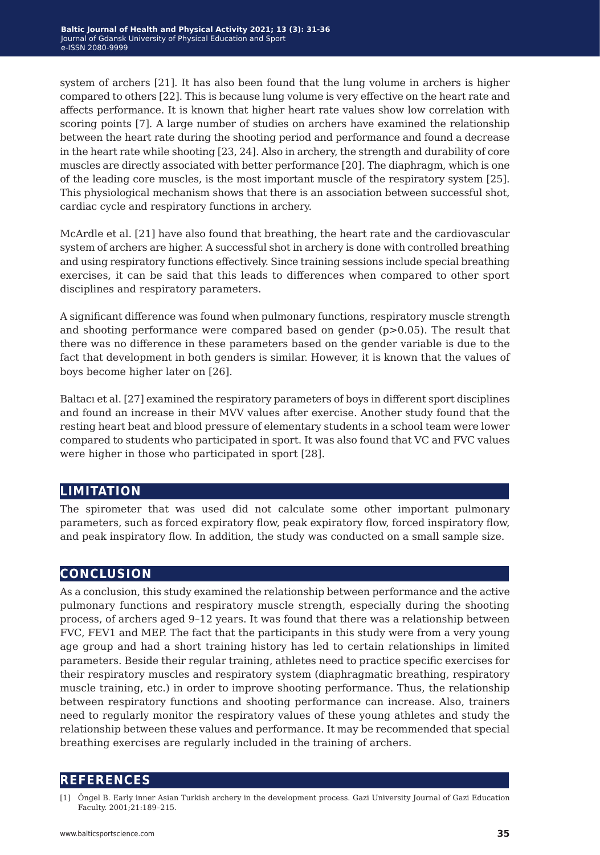system of archers [21]. It has also been found that the lung volume in archers is higher compared to others [22]. This is because lung volume is very effective on the heart rate and affects performance. It is known that higher heart rate values show low correlation with scoring points [7]. A large number of studies on archers have examined the relationship between the heart rate during the shooting period and performance and found a decrease in the heart rate while shooting [23, 24]. Also in archery, the strength and durability of core muscles are directly associated with better performance [20]. The diaphragm, which is one of the leading core muscles, is the most important muscle of the respiratory system [25]. This physiological mechanism shows that there is an association between successful shot, cardiac cycle and respiratory functions in archery.

McArdle et al. [21] have also found that breathing, the heart rate and the cardiovascular system of archers are higher. A successful shot in archery is done with controlled breathing and using respiratory functions effectively. Since training sessions include special breathing exercises, it can be said that this leads to differences when compared to other sport disciplines and respiratory parameters.

A significant difference was found when pulmonary functions, respiratory muscle strength and shooting performance were compared based on gender  $(p>0.05)$ . The result that there was no difference in these parameters based on the gender variable is due to the fact that development in both genders is similar. However, it is known that the values of boys become higher later on [26].

Baltacı et al. [27] examined the respiratory parameters of boys in different sport disciplines and found an increase in their MVV values after exercise. Another study found that the resting heart beat and blood pressure of elementary students in a school team were lower compared to students who participated in sport. It was also found that VC and FVC values were higher in those who participated in sport [28].

# **limitation**

The spirometer that was used did not calculate some other important pulmonary parameters, such as forced expiratory flow, peak expiratory flow, forced inspiratory flow, and peak inspiratory flow. In addition, the study was conducted on a small sample size.

# **conclusion**

As a conclusion, this study examined the relationship between performance and the active pulmonary functions and respiratory muscle strength, especially during the shooting process, of archers aged 9–12 years. It was found that there was a relationship between FVC, FEV1 and MEP. The fact that the participants in this study were from a very young age group and had a short training history has led to certain relationships in limited parameters. Beside their regular training, athletes need to practice specific exercises for their respiratory muscles and respiratory system (diaphragmatic breathing, respiratory muscle training, etc.) in order to improve shooting performance. Thus, the relationship between respiratory functions and shooting performance can increase. Also, trainers need to regularly monitor the respiratory values of these young athletes and study the relationship between these values and performance. It may be recommended that special breathing exercises are regularly included in the training of archers.

# **references**

<sup>[1]</sup> Öngel B. Early inner Asian Turkish archery in the development process. Gazi University Journal of Gazi Education Faculty. 2001;21:189–215.